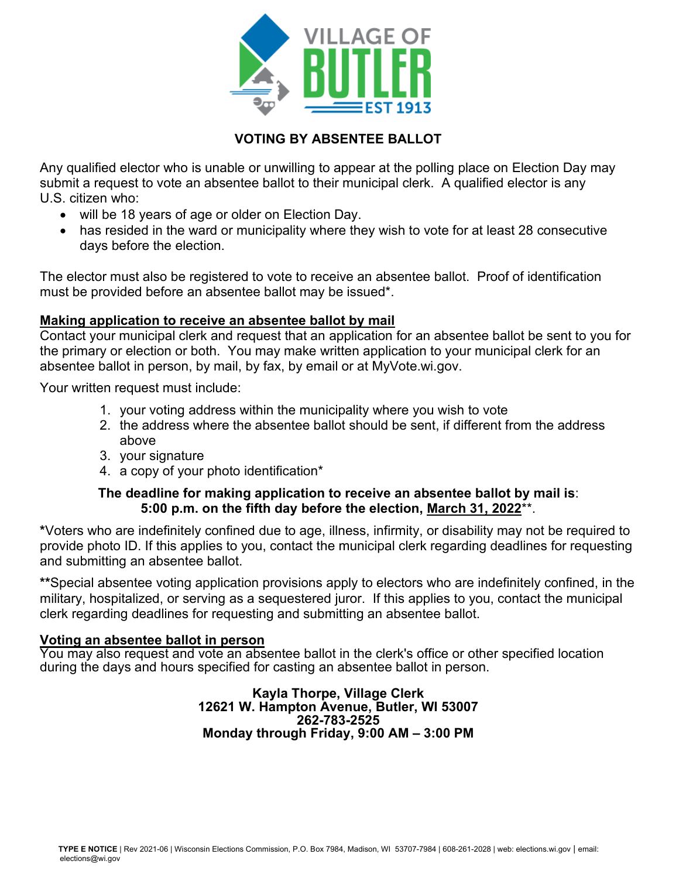

### **VOTING BY ABSENTEE BALLOT**

Any qualified elector who is unable or unwilling to appear at the polling place on Election Day may submit a request to vote an absentee ballot to their municipal clerk. A qualified elector is any U.S. citizen who:

- will be 18 years of age or older on Election Day.
- has resided in the ward or municipality where they wish to vote for at least 28 consecutive days before the election.

The elector must also be registered to vote to receive an absentee ballot. Proof of identification must be provided before an absentee ballot may be issued\*.

#### **Making application to receive an absentee ballot by mail**

Contact your municipal clerk and request that an application for an absentee ballot be sent to you for the primary or election or both. You may make written application to your municipal clerk for an absentee ballot in person, by mail, by fax, by email or at MyVote.wi.gov.

Your written request must include:

- 1. your voting address within the municipality where you wish to vote
- 2. the address where the absentee ballot should be sent, if different from the address above
- 3. your signature
- 4. a copy of your photo identification\*

#### **The deadline for making application to receive an absentee ballot by mail is**: **5:00 p.m. on the fifth day before the election, March 31, 2022**\*\*.

**\***Voters who are indefinitely confined due to age, illness, infirmity, or disability may not be required to provide photo ID. If this applies to you, contact the municipal clerk regarding deadlines for requesting and submitting an absentee ballot.

**\*\***Special absentee voting application provisions apply to electors who are indefinitely confined, in the military, hospitalized, or serving as a sequestered juror. If this applies to you, contact the municipal clerk regarding deadlines for requesting and submitting an absentee ballot.

#### **Voting an absentee ballot in person**

You may also request and vote an absentee ballot in the clerk's office or other specified location during the days and hours specified for casting an absentee ballot in person.

> **Kayla Thorpe, Village Clerk 12621 W. Hampton Avenue, Butler, WI 53007 262-783-2525 Monday through Friday, 9:00 AM – 3:00 PM**